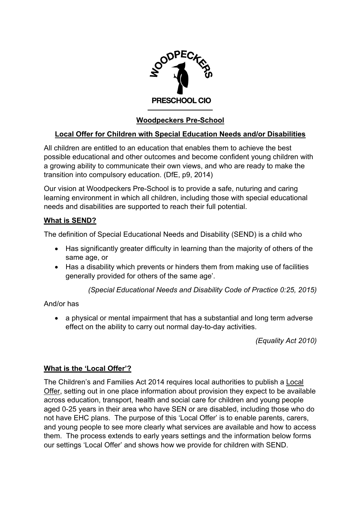

# **Woodpeckers Pre-School**

## **Local Offer for Children with Special Education Needs and/or Disabilities**

All children are entitled to an education that enables them to achieve the best possible educational and other outcomes and become confident young children with a growing ability to communicate their own views, and who are ready to make the transition into compulsory education. (DfE, p9, 2014)

Our vision at Woodpeckers Pre-School is to provide a safe, nuturing and caring learning environment in which all children, including those with special educational needs and disabilities are supported to reach their full potential.

#### **What is SEND?**

The definition of Special Educational Needs and Disability (SEND) is a child who

- Has significantly greater difficulty in learning than the majority of others of the same age, or
- Has a disability which prevents or hinders them from making use of facilities generally provided for others of the same age'.

*(Special Educational Needs and Disability Code of Practice 0:25, 2015)*

### And/or has

• a physical or mental impairment that has a substantial and long term adverse effect on the ability to carry out normal day-to-day activities.

*(Equality Act 2010)*

### **What is the 'Local Offer'?**

The Children's and Families Act 2014 requires local authorities to publish a Local Offer, setting out in one place information about provision they expect to be available across education, transport, health and social care for children and young people aged 0-25 years in their area who have SEN or are disabled, including those who do not have EHC plans. The purpose of this 'Local Offer' is to enable parents, carers, and young people to see more clearly what services are available and how to access them. The process extends to early years settings and the information below forms our settings 'Local Offer' and shows how we provide for children with SEND.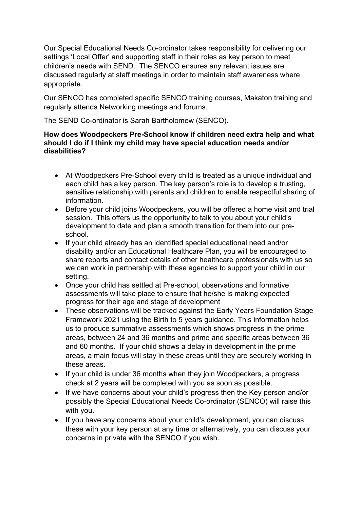Our Special Educational Needs Co-ordinator takes responsibility for delivering our settings 'Local Offer' and supporting staff in their roles as key person to meet children's needs with SEND. The SENCO ensures any relevant issues are discussed regularly at staff meetings in order to maintain staff awareness where appropriate.

Our SENCO has completed specific SENCO training courses, Makaton training and regularly attends Networking meetings and forums.

The SEND Co-ordinator is Sarah Bartholomew (SENCO).

#### **How does Woodpeckers Pre-School know if children need extra help and what should I do if I think my child may have special education needs and/or disabilities?**

- At Woodpeckers Pre-School every child is treated as a unique individual and each child has a key person. The key person's role is to develop a trusting, sensitive relationship with parents and children to enable respectful sharing of information.
- Before your child joins Woodpeckers, you will be offered a home visit and trial session. This offers us the opportunity to talk to you about your child's development to date and plan a smooth transition for them into our preschool.
- If your child already has an identified special educational need and/or disability and/or an Educational Healthcare Plan, you will be encouraged to share reports and contact details of other healthcare professionals with us so we can work in partnership with these agencies to support your child in our setting.
- Once your child has settled at Pre-school, observations and formative assessments will take place to ensure that he/she is making expected progress for their age and stage of development
- These observations will be tracked against the Early Years Foundation Stage Framework 2021 using the Birth to 5 years guidance. This information helps us to produce summative assessments which shows progress in the prime areas, between 24 and 36 months and prime and specific areas between 36 and 60 months. If your child shows a delay in development in the prime areas, a main focus will stay in these areas until they are securely working in these areas.
- If your child is under 36 months when they join Woodpeckers, a progress check at 2 years will be completed with you as soon as possible.
- If we have concerns about your child's progress then the Key person and/or possibly the Special Educational Needs Co-ordinator (SENCO) will raise this with you.
- If you have any concerns about your child's development, you can discuss these with your key person at any time or alternatively, you can discuss your concerns in private with the SENCO if you wish.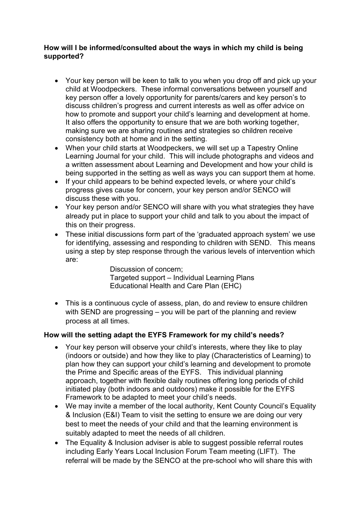#### **How will I be informed/consulted about the ways in which my child is being supported?**

- Your key person will be keen to talk to you when you drop off and pick up your child at Woodpeckers. These informal conversations between yourself and key person offer a lovely opportunity for parents/carers and key person's to discuss children's progress and current interests as well as offer advice on how to promote and support your child's learning and development at home. It also offers the opportunity to ensure that we are both working together, making sure we are sharing routines and strategies so children receive consistency both at home and in the setting.
- When your child starts at Woodpeckers, we will set up a Tapestry Online Learning Journal for your child. This will include photographs and videos and a written assessment about Learning and Development and how your child is being supported in the setting as well as ways you can support them at home.
- If your child appears to be behind expected levels, or where your child's progress gives cause for concern, your key person and/or SENCO will discuss these with you.
- Your key person and/or SENCO will share with you what strategies they have already put in place to support your child and talk to you about the impact of this on their progress.
- These initial discussions form part of the 'graduated approach system' we use for identifying, assessing and responding to children with SEND. This means using a step by step response through the various levels of intervention which are:

 Discussion of concern; Targeted support – Individual Learning Plans Educational Health and Care Plan (EHC)

• This is a continuous cycle of assess, plan, do and review to ensure children with SEND are progressing – you will be part of the planning and review process at all times.

### **How will the setting adapt the EYFS Framework for my child's needs?**

- Your key person will observe your child's interests, where they like to play (indoors or outside) and how they like to play (Characteristics of Learning) to plan how they can support your child's learning and development to promote the Prime and Specific areas of the EYFS. This individual planning approach, together with flexible daily routines offering long periods of child initiated play (both indoors and outdoors) make it possible for the EYFS Framework to be adapted to meet your child's needs.
- We may invite a member of the local authority, Kent County Council's Equality & Inclusion (E&I) Team to visit the setting to ensure we are doing our very best to meet the needs of your child and that the learning environment is suitably adapted to meet the needs of all children.
- The Equality & Inclusion adviser is able to suggest possible referral routes including Early Years Local Inclusion Forum Team meeting (LIFT). The referral will be made by the SENCO at the pre-school who will share this with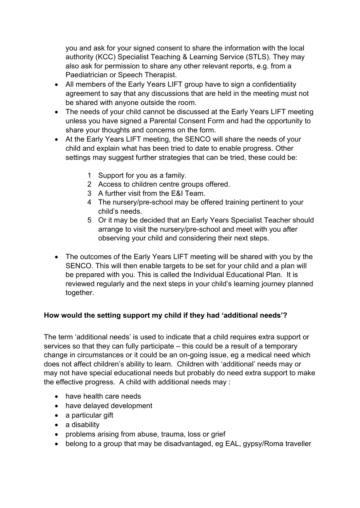you and ask for your signed consent to share the information with the local authority (KCC) Specialist Teaching & Learning Service (STLS). They may also ask for permission to share any other relevant reports, e.g. from a Paediatrician or Speech Therapist.

- All members of the Early Years LIFT group have to sign a confidentiality agreement to say that any discussions that are held in the meeting must not be shared with anyone outside the room.
- The needs of your child cannot be discussed at the Early Years LIFT meeting unless you have signed a Parental Consent Form and had the opportunity to share your thoughts and concerns on the form.
- At the Early Years LIFT meeting, the SENCO will share the needs of your child and explain what has been tried to date to enable progress. Other settings may suggest further strategies that can be tried, these could be:
	- 1 Support for you as a family.
	- 2 Access to children centre groups offered.
	- 3 A further visit from the E&I Team.
	- 4 The nursery/pre-school may be offered training pertinent to your child's needs.
	- 5 Or it may be decided that an Early Years Specialist Teacher should arrange to visit the nursery/pre-school and meet with you after observing your child and considering their next steps.
- The outcomes of the Early Years LIFT meeting will be shared with you by the SENCO. This will then enable targets to be set for your child and a plan will be prepared with you. This is called the Individual Educational Plan. It is reviewed regularly and the next steps in your child's learning journey planned together.

## **How would the setting support my child if they had 'additional needs'?**

The term 'additional needs' is used to indicate that a child requires extra support or services so that they can fully participate – this could be a result of a temporary change in circumstances or it could be an on-going issue, eg a medical need which does not affect children's ability to learn. Children with 'additional' needs may or may not have special educational needs but probably do need extra support to make the effective progress. A child with additional needs may :

- have health care needs
- have delayed development
- a particular gift
- a disability
- problems arising from abuse, trauma, loss or grief
- belong to a group that may be disadvantaged, eg EAL, gypsy/Roma traveller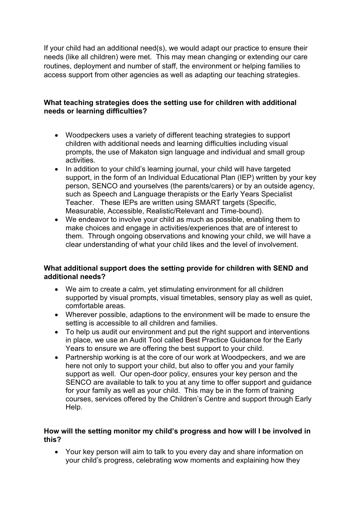If your child had an additional need(s), we would adapt our practice to ensure their needs (like all children) were met. This may mean changing or extending our care routines, deployment and number of staff, the environment or helping families to access support from other agencies as well as adapting our teaching strategies.

#### **What teaching strategies does the setting use for children with additional needs or learning difficulties?**

- Woodpeckers uses a variety of different teaching strategies to support children with additional needs and learning difficulties including visual prompts, the use of Makaton sign language and individual and small group activities.
- In addition to your child's learning journal, your child will have targeted support, in the form of an Individual Educational Plan (IEP) written by your key person, SENCO and yourselves (the parents/carers) or by an outside agency, such as Speech and Language therapists or the Early Years Specialist Teacher. These IEPs are written using SMART targets (Specific, Measurable, Accessible, Realistic/Relevant and Time-bound).
- We endeavor to involve your child as much as possible, enabling them to make choices and engage in activities/experiences that are of interest to them. Through ongoing observations and knowing your child, we will have a clear understanding of what your child likes and the level of involvement.

#### **What additional support does the setting provide for children with SEND and additional needs?**

- We aim to create a calm, yet stimulating environment for all children supported by visual prompts, visual timetables, sensory play as well as quiet, comfortable areas.
- Wherever possible, adaptions to the environment will be made to ensure the setting is accessible to all children and families.
- To help us audit our environment and put the right support and interventions in place, we use an Audit Tool called Best Practice Guidance for the Early Years to ensure we are offering the best support to your child.
- Partnership working is at the core of our work at Woodpeckers, and we are here not only to support your child, but also to offer you and your family support as well. Our open-door policy, ensures your key person and the SENCO are available to talk to you at any time to offer support and guidance for your family as well as your child. This may be in the form of training courses, services offered by the Children's Centre and support through Early Help.

#### **How will the setting monitor my child's progress and how will I be involved in this?**

• Your key person will aim to talk to you every day and share information on your child's progress, celebrating wow moments and explaining how they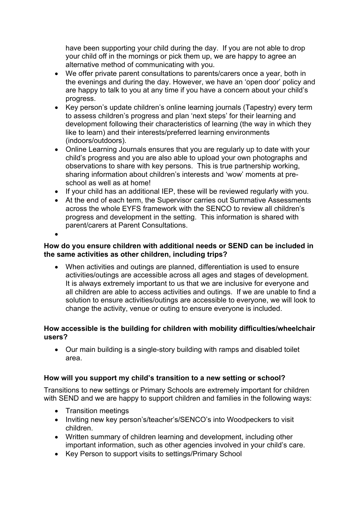have been supporting your child during the day. If you are not able to drop your child off in the mornings or pick them up, we are happy to agree an alternative method of communicating with you.

- We offer private parent consultations to parents/carers once a year, both in the evenings and during the day. However, we have an 'open door' policy and are happy to talk to you at any time if you have a concern about your child's progress.
- Key person's update children's online learning journals (Tapestry) every term to assess children's progress and plan 'next steps' for their learning and development following their characteristics of learning (the way in which they like to learn) and their interests/preferred learning environments (indoors/outdoors).
- Online Learning Journals ensures that you are regularly up to date with your child's progress and you are also able to upload your own photographs and observations to share with key persons. This is true partnership working, sharing information about children's interests and 'wow' moments at preschool as well as at home!
- If your child has an additional IEP, these will be reviewed regularly with you.
- At the end of each term, the Supervisor carries out Summative Assessments across the whole EYFS framework with the SENCO to review all children's progress and development in the setting. This information is shared with parent/carers at Parent Consultations.
- •

### **How do you ensure children with additional needs or SEND can be included in the same activities as other children, including trips?**

• When activities and outings are planned, differentiation is used to ensure activities/outings are accessible across all ages and stages of development. It is always extremely important to us that we are inclusive for everyone and all children are able to access activities and outings. If we are unable to find a solution to ensure activities/outings are accessible to everyone, we will look to change the activity, venue or outing to ensure everyone is included.

#### **How accessible is the building for children with mobility difficulties/wheelchair users?**

• Our main building is a single-story building with ramps and disabled toilet area.

### **How will you support my child's transition to a new setting or school?**

Transitions to new settings or Primary Schools are extremely important for children with SEND and we are happy to support children and families in the following ways:

- Transition meetings
- Inviting new key person's/teacher's/SENCO's into Woodpeckers to visit children.
- Written summary of children learning and development, including other important information, such as other agencies involved in your child's care.
- Key Person to support visits to settings/Primary School